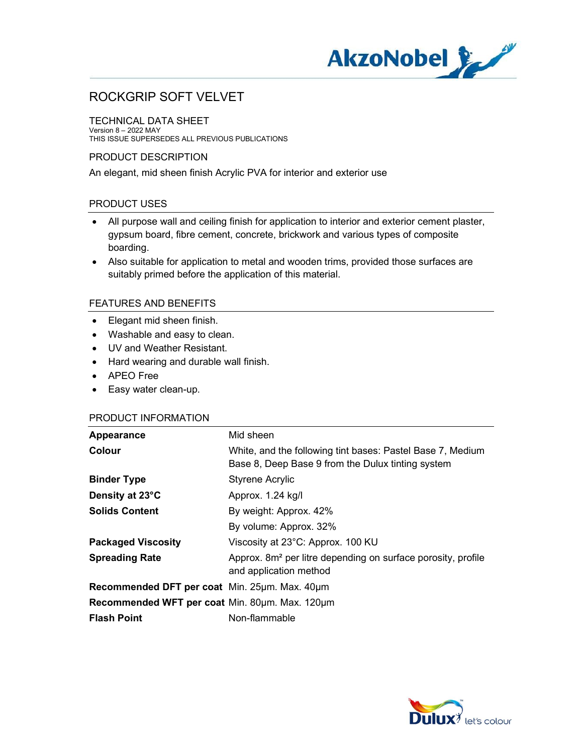

TECHNICAL DATA SHEET Version 8 – 2022 MAY THIS ISSUE SUPERSEDES ALL PREVIOUS PUBLICATIONS

## PRODUCT DESCRIPTION

An elegant, mid sheen finish Acrylic PVA for interior and exterior use

## PRODUCT USES

- All purpose wall and ceiling finish for application to interior and exterior cement plaster, gypsum board, fibre cement, concrete, brickwork and various types of composite boarding.
- Also suitable for application to metal and wooden trims, provided those surfaces are suitably primed before the application of this material.

## FEATURES AND BENEFITS

- Elegant mid sheen finish.
- Washable and easy to clean.
- UV and Weather Resistant.
- Hard wearing and durable wall finish.
- APEO Free
- Easy water clean-up.

#### PRODUCT INFORMATION

| Appearance                                     | Mid sheen                                                                                                       |
|------------------------------------------------|-----------------------------------------------------------------------------------------------------------------|
| Colour                                         | White, and the following tint bases: Pastel Base 7, Medium<br>Base 8, Deep Base 9 from the Dulux tinting system |
| <b>Binder Type</b>                             | <b>Styrene Acrylic</b>                                                                                          |
| Density at 23°C                                | Approx. 1.24 kg/l                                                                                               |
| <b>Solids Content</b>                          | By weight: Approx. 42%                                                                                          |
|                                                | By volume: Approx. 32%                                                                                          |
| <b>Packaged Viscosity</b>                      | Viscosity at 23°C: Approx. 100 KU                                                                               |
| <b>Spreading Rate</b>                          | Approx. 8m <sup>2</sup> per litre depending on surface porosity, profile<br>and application method              |
| Recommended DFT per coat Min. 25µm. Max. 40µm  |                                                                                                                 |
| Recommended WFT per coat Min. 80um. Max. 120um |                                                                                                                 |
| <b>Flash Point</b>                             | Non-flammable                                                                                                   |

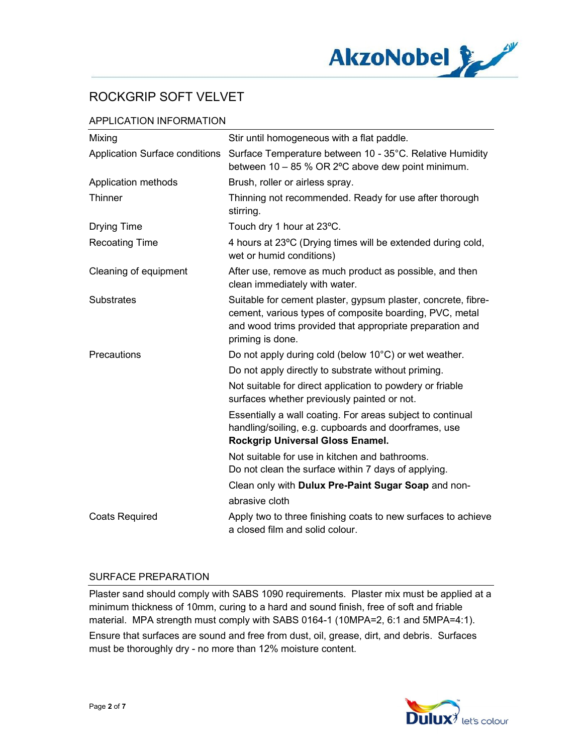

# APPLICATION INFORMATION

| Mixing                         | Stir until homogeneous with a flat paddle.                                                                                                                                                               |
|--------------------------------|----------------------------------------------------------------------------------------------------------------------------------------------------------------------------------------------------------|
| Application Surface conditions | Surface Temperature between 10 - 35°C. Relative Humidity<br>between 10 - 85 % OR 2°C above dew point minimum.                                                                                            |
| Application methods            | Brush, roller or airless spray.                                                                                                                                                                          |
| <b>Thinner</b>                 | Thinning not recommended. Ready for use after thorough<br>stirring.                                                                                                                                      |
| <b>Drying Time</b>             | Touch dry 1 hour at 23°C.                                                                                                                                                                                |
| <b>Recoating Time</b>          | 4 hours at 23°C (Drying times will be extended during cold,<br>wet or humid conditions)                                                                                                                  |
| Cleaning of equipment          | After use, remove as much product as possible, and then<br>clean immediately with water.                                                                                                                 |
| <b>Substrates</b>              | Suitable for cement plaster, gypsum plaster, concrete, fibre-<br>cement, various types of composite boarding, PVC, metal<br>and wood trims provided that appropriate preparation and<br>priming is done. |
| Precautions                    | Do not apply during cold (below 10°C) or wet weather.                                                                                                                                                    |
|                                | Do not apply directly to substrate without priming.                                                                                                                                                      |
|                                | Not suitable for direct application to powdery or friable<br>surfaces whether previously painted or not.                                                                                                 |
|                                | Essentially a wall coating. For areas subject to continual<br>handling/soiling, e.g. cupboards and doorframes, use<br>Rockgrip Universal Gloss Enamel.                                                   |
|                                | Not suitable for use in kitchen and bathrooms.<br>Do not clean the surface within 7 days of applying.                                                                                                    |
|                                | Clean only with Dulux Pre-Paint Sugar Soap and non-                                                                                                                                                      |
|                                | abrasive cloth                                                                                                                                                                                           |
| <b>Coats Required</b>          | Apply two to three finishing coats to new surfaces to achieve<br>a closed film and solid colour.                                                                                                         |

### SURFACE PREPARATION

Plaster sand should comply with SABS 1090 requirements. Plaster mix must be applied at a minimum thickness of 10mm, curing to a hard and sound finish, free of soft and friable material. MPA strength must comply with SABS 0164-1 (10MPA=2, 6:1 and 5MPA=4:1). Ensure that surfaces are sound and free from dust, oil, grease, dirt, and debris. Surfaces must be thoroughly dry - no more than 12% moisture content.

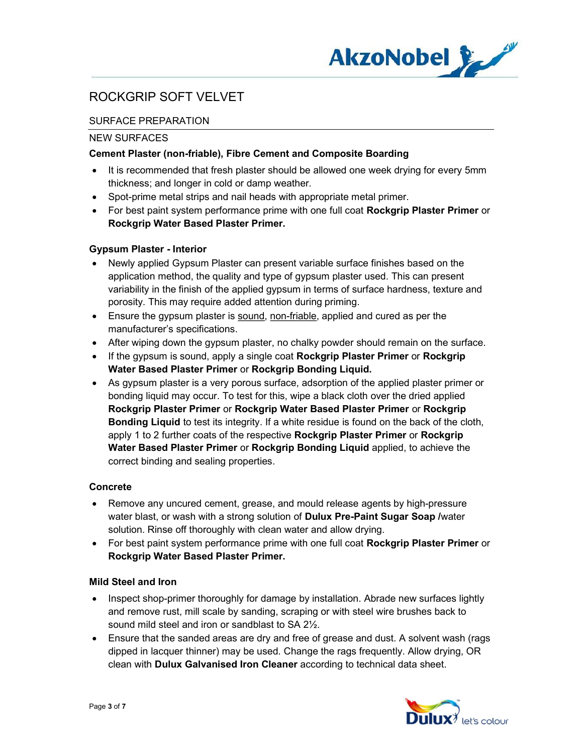

## SURFACE PREPARATION

#### NEW SURFACES

### Cement Plaster (non-friable), Fibre Cement and Composite Boarding

- It is recommended that fresh plaster should be allowed one week drying for every 5mm thickness; and longer in cold or damp weather.
- Spot-prime metal strips and nail heads with appropriate metal primer.
- For best paint system performance prime with one full coat Rockgrip Plaster Primer or Rockgrip Water Based Plaster Primer.

### Gypsum Plaster - Interior

- Newly applied Gypsum Plaster can present variable surface finishes based on the application method, the quality and type of gypsum plaster used. This can present variability in the finish of the applied gypsum in terms of surface hardness, texture and porosity. This may require added attention during priming.
- Ensure the gypsum plaster is sound, non-friable, applied and cured as per the manufacturer's specifications.
- After wiping down the gypsum plaster, no chalky powder should remain on the surface.
- If the gypsum is sound, apply a single coat Rockgrip Plaster Primer or Rockgrip Water Based Plaster Primer or Rockgrip Bonding Liquid.
- As gypsum plaster is a very porous surface, adsorption of the applied plaster primer or bonding liquid may occur. To test for this, wipe a black cloth over the dried applied Rockgrip Plaster Primer or Rockgrip Water Based Plaster Primer or Rockgrip Bonding Liquid to test its integrity. If a white residue is found on the back of the cloth, apply 1 to 2 further coats of the respective Rockgrip Plaster Primer or Rockgrip Water Based Plaster Primer or Rockgrip Bonding Liquid applied, to achieve the correct binding and sealing properties.

### Concrete

- Remove any uncured cement, grease, and mould release agents by high-pressure water blast, or wash with a strong solution of **Dulux Pre-Paint Sugar Soap** /water solution. Rinse off thoroughly with clean water and allow drying.
- For best paint system performance prime with one full coat Rockgrip Plaster Primer or Rockgrip Water Based Plaster Primer.

### Mild Steel and Iron

- Inspect shop-primer thoroughly for damage by installation. Abrade new surfaces lightly and remove rust, mill scale by sanding, scraping or with steel wire brushes back to sound mild steel and iron or sandblast to SA 2½.
- Ensure that the sanded areas are dry and free of grease and dust. A solvent wash (rags dipped in lacquer thinner) may be used. Change the rags frequently. Allow drying, OR clean with Dulux Galvanised Iron Cleaner according to technical data sheet.

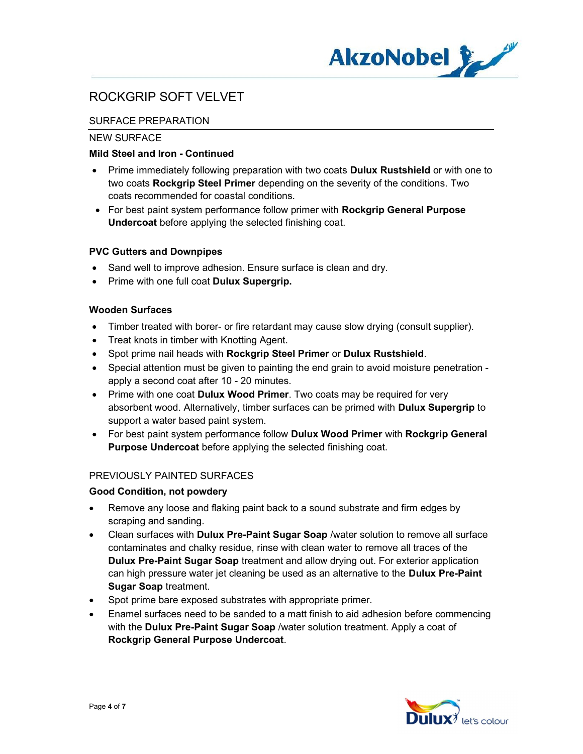

## SURFACE PREPARATION

## NEW SURFACE

## Mild Steel and Iron - Continued

- Prime immediately following preparation with two coats **Dulux Rustshield** or with one to two coats Rockgrip Steel Primer depending on the severity of the conditions. Two coats recommended for coastal conditions.
- For best paint system performance follow primer with Rockgrip General Purpose Undercoat before applying the selected finishing coat.

### PVC Gutters and Downpipes

- Sand well to improve adhesion. Ensure surface is clean and dry.
- Prime with one full coat Dulux Supergrip.

## Wooden Surfaces

- Timber treated with borer- or fire retardant may cause slow drying (consult supplier).
- Treat knots in timber with Knotting Agent.
- Spot prime nail heads with Rockgrip Steel Primer or Dulux Rustshield.
- Special attention must be given to painting the end grain to avoid moisture penetration apply a second coat after 10 - 20 minutes.
- Prime with one coat Dulux Wood Primer. Two coats may be required for very absorbent wood. Alternatively, timber surfaces can be primed with Dulux Supergrip to support a water based paint system.
- For best paint system performance follow Dulux Wood Primer with Rockgrip General Purpose Undercoat before applying the selected finishing coat.

### PREVIOUSLY PAINTED SURFACES

### Good Condition, not powdery

- Remove any loose and flaking paint back to a sound substrate and firm edges by scraping and sanding.
- Clean surfaces with Dulux Pre-Paint Sugar Soap /water solution to remove all surface contaminates and chalky residue, rinse with clean water to remove all traces of the Dulux Pre-Paint Sugar Soap treatment and allow drying out. For exterior application can high pressure water jet cleaning be used as an alternative to the Dulux Pre-Paint Sugar Soap treatment.
- Spot prime bare exposed substrates with appropriate primer.
- Enamel surfaces need to be sanded to a matt finish to aid adhesion before commencing with the Dulux Pre-Paint Sugar Soap /water solution treatment. Apply a coat of Rockgrip General Purpose Undercoat.

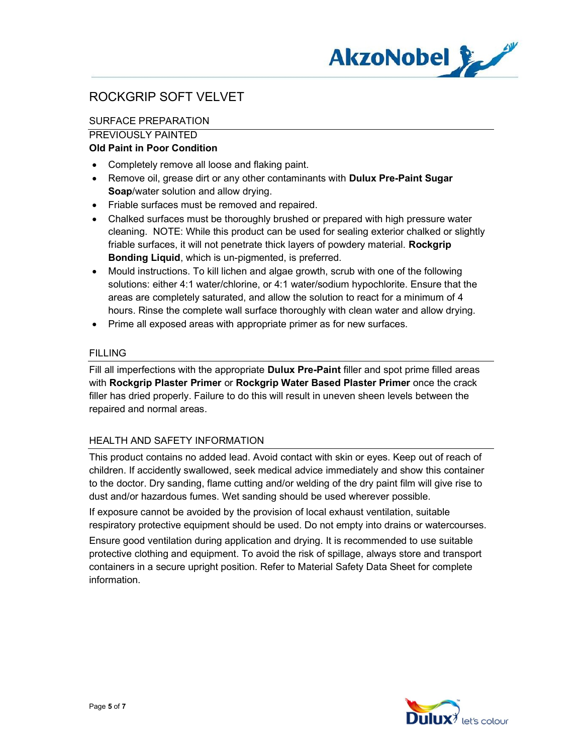

# SURFACE PREPARATION

## PREVIOUSLY PAINTED

## Old Paint in Poor Condition

- Completely remove all loose and flaking paint.
- Remove oil, grease dirt or any other contaminants with **Dulux Pre-Paint Sugar** Soap/water solution and allow drying.
- Friable surfaces must be removed and repaired.
- Chalked surfaces must be thoroughly brushed or prepared with high pressure water cleaning. NOTE: While this product can be used for sealing exterior chalked or slightly friable surfaces, it will not penetrate thick layers of powdery material. Rockgrip Bonding Liquid, which is un-pigmented, is preferred.
- Mould instructions. To kill lichen and algae growth, scrub with one of the following solutions: either 4:1 water/chlorine, or 4:1 water/sodium hypochlorite. Ensure that the areas are completely saturated, and allow the solution to react for a minimum of 4 hours. Rinse the complete wall surface thoroughly with clean water and allow drying.
- Prime all exposed areas with appropriate primer as for new surfaces.

## FILLING

Fill all imperfections with the appropriate **Dulux Pre-Paint** filler and spot prime filled areas with Rockgrip Plaster Primer or Rockgrip Water Based Plaster Primer once the crack filler has dried properly. Failure to do this will result in uneven sheen levels between the repaired and normal areas.

## HEALTH AND SAFETY INFORMATION

This product contains no added lead. Avoid contact with skin or eyes. Keep out of reach of children. If accidently swallowed, seek medical advice immediately and show this container to the doctor. Dry sanding, flame cutting and/or welding of the dry paint film will give rise to dust and/or hazardous fumes. Wet sanding should be used wherever possible.

If exposure cannot be avoided by the provision of local exhaust ventilation, suitable respiratory protective equipment should be used. Do not empty into drains or watercourses.

Ensure good ventilation during application and drying. It is recommended to use suitable protective clothing and equipment. To avoid the risk of spillage, always store and transport containers in a secure upright position. Refer to Material Safety Data Sheet for complete information.

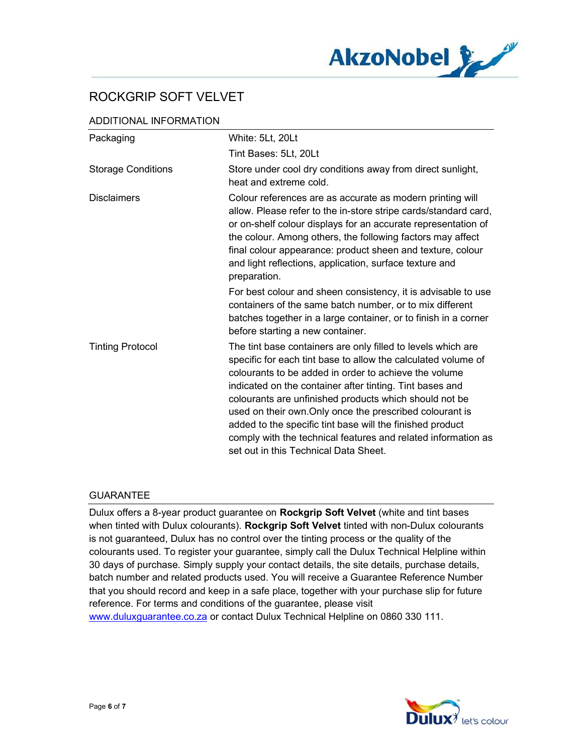

## ADDITIONAL INFORMATION

| Packaging                 | White: 5Lt, 20Lt                                                                                                                                                                                                                                                                                                                                                                                                                                                                                                                                |
|---------------------------|-------------------------------------------------------------------------------------------------------------------------------------------------------------------------------------------------------------------------------------------------------------------------------------------------------------------------------------------------------------------------------------------------------------------------------------------------------------------------------------------------------------------------------------------------|
|                           | Tint Bases: 5Lt, 20Lt                                                                                                                                                                                                                                                                                                                                                                                                                                                                                                                           |
| <b>Storage Conditions</b> | Store under cool dry conditions away from direct sunlight,<br>heat and extreme cold.                                                                                                                                                                                                                                                                                                                                                                                                                                                            |
| <b>Disclaimers</b>        | Colour references are as accurate as modern printing will<br>allow. Please refer to the in-store stripe cards/standard card,<br>or on-shelf colour displays for an accurate representation of<br>the colour. Among others, the following factors may affect<br>final colour appearance: product sheen and texture, colour<br>and light reflections, application, surface texture and<br>preparation.                                                                                                                                            |
|                           | For best colour and sheen consistency, it is advisable to use<br>containers of the same batch number, or to mix different<br>batches together in a large container, or to finish in a corner<br>before starting a new container.                                                                                                                                                                                                                                                                                                                |
| <b>Tinting Protocol</b>   | The tint base containers are only filled to levels which are<br>specific for each tint base to allow the calculated volume of<br>colourants to be added in order to achieve the volume<br>indicated on the container after tinting. Tint bases and<br>colourants are unfinished products which should not be<br>used on their own. Only once the prescribed colourant is<br>added to the specific tint base will the finished product<br>comply with the technical features and related information as<br>set out in this Technical Data Sheet. |

### GUARANTEE

Dulux offers a 8-year product guarantee on Rockgrip Soft Velvet (white and tint bases when tinted with Dulux colourants). Rockgrip Soft Velvet tinted with non-Dulux colourants is not guaranteed, Dulux has no control over the tinting process or the quality of the colourants used. To register your guarantee, simply call the Dulux Technical Helpline within 30 days of purchase. Simply supply your contact details, the site details, purchase details, batch number and related products used. You will receive a Guarantee Reference Number that you should record and keep in a safe place, together with your purchase slip for future reference. For terms and conditions of the guarantee, please visit www.duluxguarantee.co.za or contact Dulux Technical Helpline on 0860 330 111.